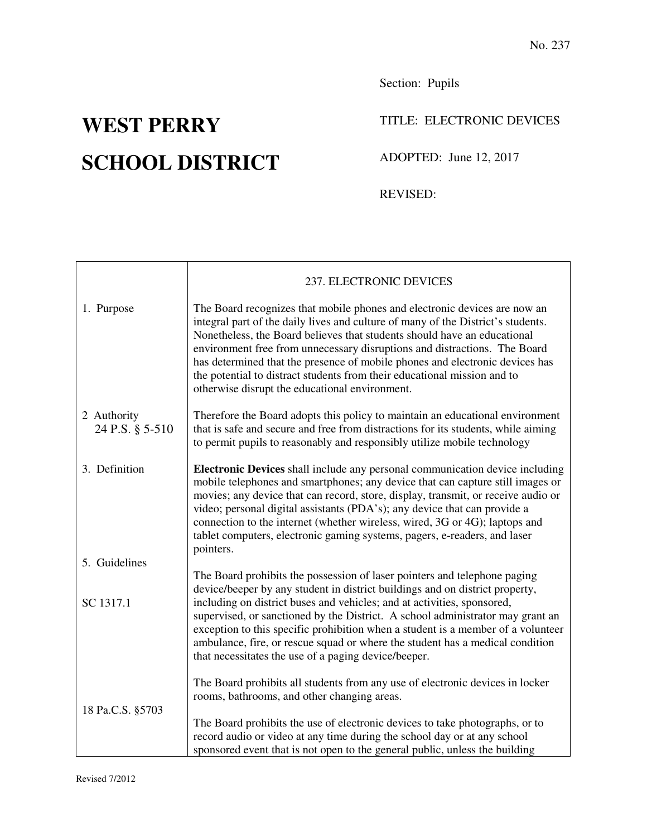## Section: Pupils

## WEST PERRY TITLE: ELECTRONIC DEVICES

**SCHOOL DISTRICT** ADOPTED: June 12, 2017

REVISED:

|                                | 237. ELECTRONIC DEVICES                                                                                                                                                                                                                                                                                                                                                                                                                                                                                                                             |
|--------------------------------|-----------------------------------------------------------------------------------------------------------------------------------------------------------------------------------------------------------------------------------------------------------------------------------------------------------------------------------------------------------------------------------------------------------------------------------------------------------------------------------------------------------------------------------------------------|
| 1. Purpose                     | The Board recognizes that mobile phones and electronic devices are now an<br>integral part of the daily lives and culture of many of the District's students.<br>Nonetheless, the Board believes that students should have an educational<br>environment free from unnecessary disruptions and distractions. The Board<br>has determined that the presence of mobile phones and electronic devices has<br>the potential to distract students from their educational mission and to<br>otherwise disrupt the educational environment.                |
| 2 Authority<br>24 P.S. § 5-510 | Therefore the Board adopts this policy to maintain an educational environment<br>that is safe and secure and free from distractions for its students, while aiming<br>to permit pupils to reasonably and responsibly utilize mobile technology                                                                                                                                                                                                                                                                                                      |
| 3. Definition                  | Electronic Devices shall include any personal communication device including<br>mobile telephones and smartphones; any device that can capture still images or<br>movies; any device that can record, store, display, transmit, or receive audio or<br>video; personal digital assistants (PDA's); any device that can provide a<br>connection to the internet (whether wireless, wired, 3G or 4G); laptops and<br>tablet computers, electronic gaming systems, pagers, e-readers, and laser<br>pointers.                                           |
| 5. Guidelines                  |                                                                                                                                                                                                                                                                                                                                                                                                                                                                                                                                                     |
| SC 1317.1                      | The Board prohibits the possession of laser pointers and telephone paging<br>device/beeper by any student in district buildings and on district property,<br>including on district buses and vehicles; and at activities, sponsored,<br>supervised, or sanctioned by the District. A school administrator may grant an<br>exception to this specific prohibition when a student is a member of a volunteer<br>ambulance, fire, or rescue squad or where the student has a medical condition<br>that necessitates the use of a paging device/beeper. |
| 18 Pa.C.S. §5703               | The Board prohibits all students from any use of electronic devices in locker<br>rooms, bathrooms, and other changing areas.                                                                                                                                                                                                                                                                                                                                                                                                                        |
|                                | The Board prohibits the use of electronic devices to take photographs, or to<br>record audio or video at any time during the school day or at any school<br>sponsored event that is not open to the general public, unless the building                                                                                                                                                                                                                                                                                                             |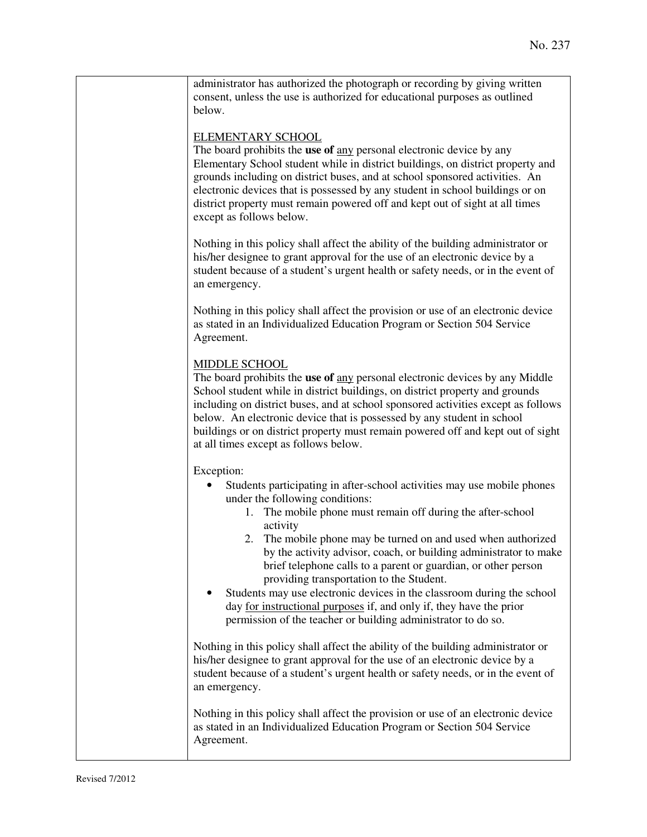| administrator has authorized the photograph or recording by giving written |
|----------------------------------------------------------------------------|
| consent, unless the use is authorized for educational purposes as outlined |
| below.                                                                     |

## ELEMENTARY SCHOOL

The board prohibits the **use of** any personal electronic device by any Elementary School student while in district buildings, on district property and grounds including on district buses, and at school sponsored activities. An electronic devices that is possessed by any student in school buildings or on district property must remain powered off and kept out of sight at all times except as follows below.

Nothing in this policy shall affect the ability of the building administrator or his/her designee to grant approval for the use of an electronic device by a student because of a student's urgent health or safety needs, or in the event of an emergency.

Nothing in this policy shall affect the provision or use of an electronic device as stated in an Individualized Education Program or Section 504 Service Agreement.

## MIDDLE SCHOOL

The board prohibits the **use of** any personal electronic devices by any Middle School student while in district buildings, on district property and grounds including on district buses, and at school sponsored activities except as follows below. An electronic device that is possessed by any student in school buildings or on district property must remain powered off and kept out of sight at all times except as follows below.

Exception:

- Students participating in after-school activities may use mobile phones under the following conditions:
	- 1. The mobile phone must remain off during the after-school activity
	- 2. The mobile phone may be turned on and used when authorized by the activity advisor, coach, or building administrator to make brief telephone calls to a parent or guardian, or other person providing transportation to the Student.
- Students may use electronic devices in the classroom during the school day for instructional purposes if, and only if, they have the prior permission of the teacher or building administrator to do so.

Nothing in this policy shall affect the ability of the building administrator or his/her designee to grant approval for the use of an electronic device by a student because of a student's urgent health or safety needs, or in the event of an emergency.

Nothing in this policy shall affect the provision or use of an electronic device as stated in an Individualized Education Program or Section 504 Service Agreement.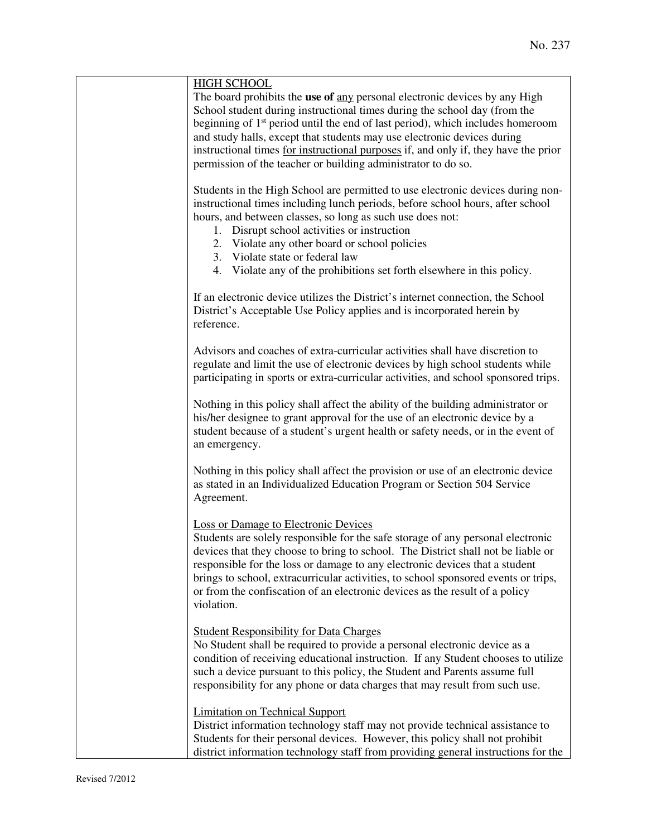| <b>HIGH SCHOOL</b><br>The board prohibits the use of any personal electronic devices by any High<br>School student during instructional times during the school day (from the<br>beginning of $1st$ period until the end of last period), which includes homeroom<br>and study halls, except that students may use electronic devices during<br>instructional times for instructional purposes if, and only if, they have the prior<br>permission of the teacher or building administrator to do so. |
|------------------------------------------------------------------------------------------------------------------------------------------------------------------------------------------------------------------------------------------------------------------------------------------------------------------------------------------------------------------------------------------------------------------------------------------------------------------------------------------------------|
| Students in the High School are permitted to use electronic devices during non-<br>instructional times including lunch periods, before school hours, after school<br>hours, and between classes, so long as such use does not:<br>1. Disrupt school activities or instruction<br>2. Violate any other board or school policies<br>3. Violate state or federal law<br>4. Violate any of the prohibitions set forth elsewhere in this policy.                                                          |
| If an electronic device utilizes the District's internet connection, the School<br>District's Acceptable Use Policy applies and is incorporated herein by<br>reference.                                                                                                                                                                                                                                                                                                                              |
| Advisors and coaches of extra-curricular activities shall have discretion to<br>regulate and limit the use of electronic devices by high school students while<br>participating in sports or extra-curricular activities, and school sponsored trips.                                                                                                                                                                                                                                                |
| Nothing in this policy shall affect the ability of the building administrator or<br>his/her designee to grant approval for the use of an electronic device by a<br>student because of a student's urgent health or safety needs, or in the event of<br>an emergency.                                                                                                                                                                                                                                 |
| Nothing in this policy shall affect the provision or use of an electronic device<br>as stated in an Individualized Education Program or Section 504 Service<br>Agreement.                                                                                                                                                                                                                                                                                                                            |
| <b>Loss or Damage to Electronic Devices</b><br>Students are solely responsible for the safe storage of any personal electronic<br>devices that they choose to bring to school. The District shall not be liable or<br>responsible for the loss or damage to any electronic devices that a student<br>brings to school, extracurricular activities, to school sponsored events or trips,<br>or from the confiscation of an electronic devices as the result of a policy<br>violation.                 |
| <b>Student Responsibility for Data Charges</b><br>No Student shall be required to provide a personal electronic device as a<br>condition of receiving educational instruction. If any Student chooses to utilize<br>such a device pursuant to this policy, the Student and Parents assume full<br>responsibility for any phone or data charges that may result from such use.                                                                                                                        |
| <b>Limitation on Technical Support</b><br>District information technology staff may not provide technical assistance to<br>Students for their personal devices. However, this policy shall not prohibit<br>district information technology staff from providing general instructions for the                                                                                                                                                                                                         |